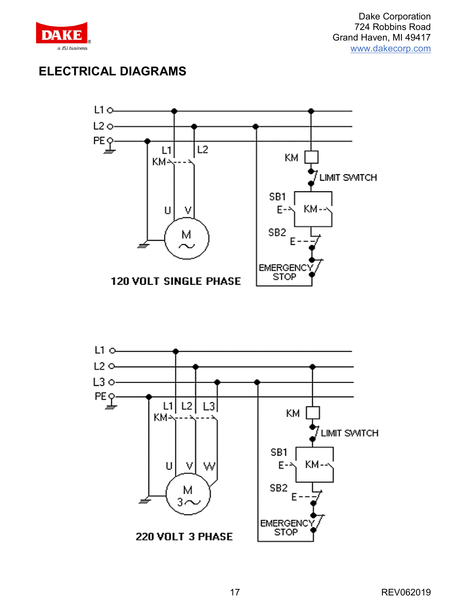

Dake Corporation 724 Robbins Road Grand Haven, MI 49417 [www.dakecorp.com](http://www.dakecorp.com/)

### **ELECTRICAL DIAGRAMS**



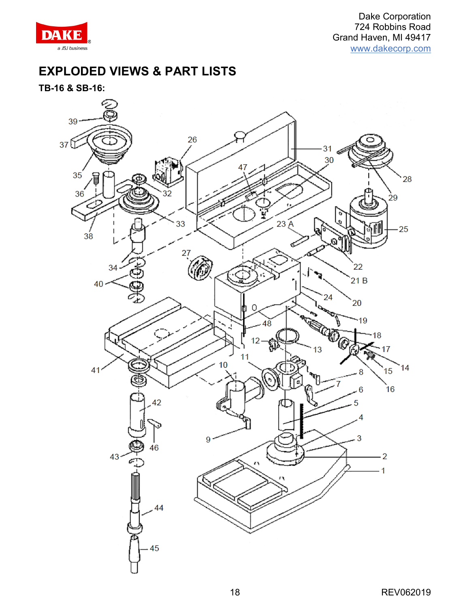

## **EXPLODED VIEWS & PART LISTS**

**TB-16 & SB-16:**

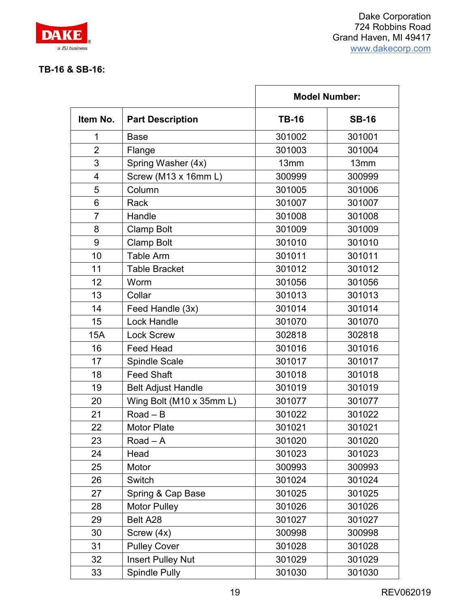

#### **TB-16 & SB-16:**

|                | <b>Part Description</b>   | <b>Model Number:</b> |              |
|----------------|---------------------------|----------------------|--------------|
| Item No.       |                           | <b>TB-16</b>         | <b>SB-16</b> |
| 1              | <b>Base</b>               | 301002               | 301001       |
| $\overline{2}$ | Flange                    | 301003               | 301004       |
| 3              | Spring Washer (4x)        | 13mm                 | 13mm         |
| $\overline{4}$ | Screw (M13 x 16mm L)      | 300999               | 300999       |
| 5              | Column                    | 301005               | 301006       |
| 6              | Rack                      | 301007               | 301007       |
| $\overline{7}$ | Handle                    | 301008               | 301008       |
| 8              | <b>Clamp Bolt</b>         | 301009               | 301009       |
| 9              | <b>Clamp Bolt</b>         | 301010               | 301010       |
| 10             | <b>Table Arm</b>          | 301011               | 301011       |
| 11             | <b>Table Bracket</b>      | 301012               | 301012       |
| 12             | Worm                      | 301056               | 301056       |
| 13             | Collar                    | 301013               | 301013       |
| 14             | Feed Handle (3x)          | 301014               | 301014       |
| 15             | <b>Lock Handle</b>        | 301070               | 301070       |
| 15A            | <b>Lock Screw</b>         | 302818               | 302818       |
| 16             | <b>Feed Head</b>          | 301016               | 301016       |
| 17             | <b>Spindle Scale</b>      | 301017               | 301017       |
| 18             | <b>Feed Shaft</b>         | 301018               | 301018       |
| 19             | <b>Belt Adjust Handle</b> | 301019               | 301019       |
| 20             | Wing Bolt (M10 x 35mm L)  | 301077               | 301077       |
| 21             | $Read - B$                | 301022               | 301022       |
| 22             | <b>Motor Plate</b>        | 301021               | 301021       |
| 23             | $Read - A$                | 301020               | 301020       |
| 24             | Head                      | 301023               | 301023       |
| 25             | Motor                     | 300993               | 300993       |
| 26             | Switch                    | 301024               | 301024       |
| 27             | Spring & Cap Base         | 301025               | 301025       |
| 28             | <b>Motor Pulley</b>       | 301026               | 301026       |
| 29             | Belt A28                  | 301027               | 301027       |
| 30             | Screw (4x)                | 300998               | 300998       |
| 31             | <b>Pulley Cover</b>       | 301028               | 301028       |
| 32             | <b>Insert Pulley Nut</b>  | 301029               | 301029       |
| 33             | <b>Spindle Pully</b>      | 301030               | 301030       |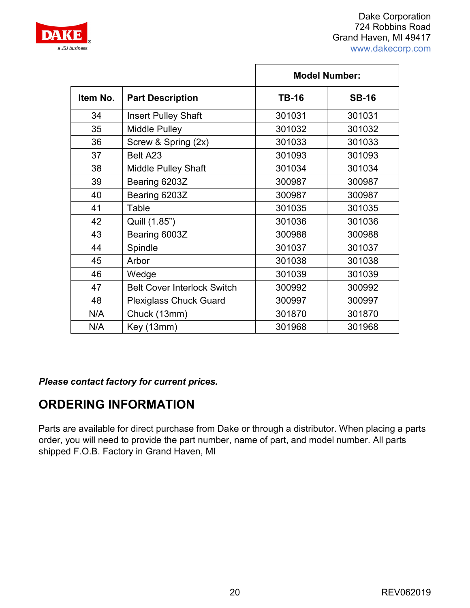

|          |                                    | <b>Model Number:</b> |              |
|----------|------------------------------------|----------------------|--------------|
| Item No. | <b>Part Description</b>            | <b>TB-16</b>         | <b>SB-16</b> |
| 34       | <b>Insert Pulley Shaft</b>         | 301031               | 301031       |
| 35       | <b>Middle Pulley</b>               | 301032               | 301032       |
| 36       | Screw & Spring (2x)                | 301033               | 301033       |
| 37       | Belt A23                           | 301093               | 301093       |
| 38       | <b>Middle Pulley Shaft</b>         | 301034               | 301034       |
| 39       | Bearing 6203Z                      | 300987               | 300987       |
| 40       | Bearing 6203Z                      | 300987               | 300987       |
| 41       | Table                              | 301035               | 301035       |
| 42       | Quill (1.85")                      | 301036               | 301036       |
| 43       | Bearing 6003Z                      | 300988               | 300988       |
| 44       | Spindle                            | 301037               | 301037       |
| 45       | Arbor                              | 301038               | 301038       |
| 46       | Wedge                              | 301039               | 301039       |
| 47       | <b>Belt Cover Interlock Switch</b> | 300992               | 300992       |
| 48       | <b>Plexiglass Chuck Guard</b>      | 300997               | 300997       |
| N/A      | Chuck (13mm)                       | 301870               | 301870       |
| N/A      | Key (13mm)                         | 301968               | 301968       |

*Please contact factory for current prices.*

# **ORDERING INFORMATION**

Parts are available for direct purchase from Dake or through a distributor. When placing a parts order, you will need to provide the part number, name of part, and model number. All parts shipped F.O.B. Factory in Grand Haven, MI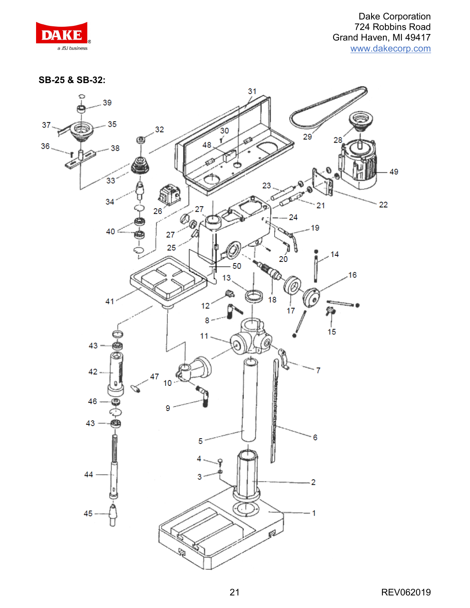**SB-25 & SB-32:**

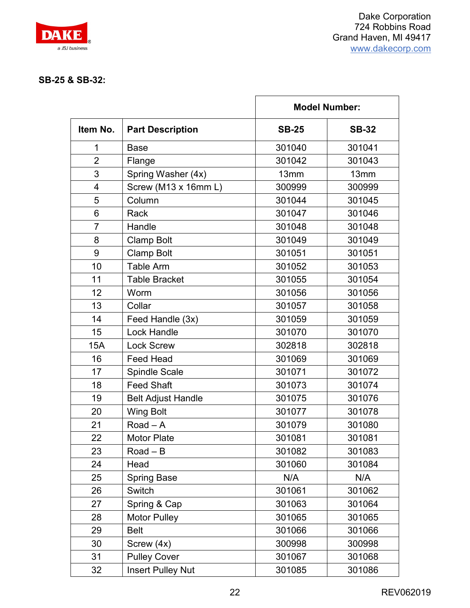

#### **SB-25 & SB-32:**

|                |                           | <b>Model Number:</b> |              |
|----------------|---------------------------|----------------------|--------------|
| Item No.       | <b>Part Description</b>   | <b>SB-25</b>         | <b>SB-32</b> |
| 1              | <b>Base</b>               | 301040               | 301041       |
| $\overline{2}$ | Flange                    | 301042               | 301043       |
| 3              | Spring Washer (4x)        | 13mm                 | 13mm         |
| 4              | Screw (M13 x 16mm L)      | 300999               | 300999       |
| 5              | Column                    | 301044               | 301045       |
| 6              | Rack                      | 301047               | 301046       |
| $\overline{7}$ | Handle                    | 301048               | 301048       |
| 8              | <b>Clamp Bolt</b>         | 301049               | 301049       |
| 9              | <b>Clamp Bolt</b>         | 301051               | 301051       |
| 10             | <b>Table Arm</b>          | 301052               | 301053       |
| 11             | <b>Table Bracket</b>      | 301055               | 301054       |
| 12             | Worm                      | 301056               | 301056       |
| 13             | Collar                    | 301057               | 301058       |
| 14             | Feed Handle (3x)          | 301059               | 301059       |
| 15             | <b>Lock Handle</b>        | 301070               | 301070       |
| 15A            | <b>Lock Screw</b>         | 302818               | 302818       |
| 16             | <b>Feed Head</b>          | 301069               | 301069       |
| 17             | <b>Spindle Scale</b>      | 301071               | 301072       |
| 18             | <b>Feed Shaft</b>         | 301073               | 301074       |
| 19             | <b>Belt Adjust Handle</b> | 301075               | 301076       |
| 20             | <b>Wing Bolt</b>          | 301077               | 301078       |
| 21             | Road $-$ A                | 301079               | 301080       |
| 22             | <b>Motor Plate</b>        | 301081               | 301081       |
| 23             | Road $-$ B                | 301082               | 301083       |
| 24             | Head                      | 301060               | 301084       |
| 25             | <b>Spring Base</b>        | N/A                  | N/A          |
| 26             | Switch                    | 301061               | 301062       |
| 27             | Spring & Cap              | 301063               | 301064       |
| 28             | <b>Motor Pulley</b>       | 301065               | 301065       |
| 29             | <b>Belt</b>               | 301066               | 301066       |
| 30             | Screw (4x)                | 300998               | 300998       |
| 31             | <b>Pulley Cover</b>       | 301067               | 301068       |
| 32             | <b>Insert Pulley Nut</b>  | 301085               | 301086       |